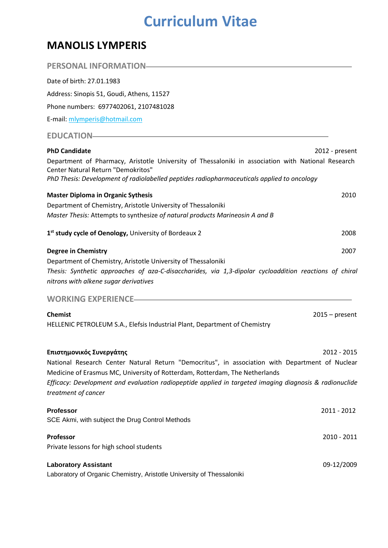## **Curriculum Vitae**

## **MANOLIS LYMPERIS**

| Date of birth: 27.01.1983                                                                                                                                                                                                              |      |
|----------------------------------------------------------------------------------------------------------------------------------------------------------------------------------------------------------------------------------------|------|
| Address: Sinopis 51, Goudi, Athens, 11527                                                                                                                                                                                              |      |
| Phone numbers: 6977402061, 2107481028                                                                                                                                                                                                  |      |
| E-mail: mlymperis@hotmail.com                                                                                                                                                                                                          |      |
| EDUCATION-REDUCATION                                                                                                                                                                                                                   |      |
| <b>PhD Candidate</b><br>2012 - present                                                                                                                                                                                                 |      |
| Department of Pharmacy, Aristotle University of Thessaloniki in association with National Research<br>Center Natural Return "Demokritos"<br>PhD Thesis: Development of radiolabelled peptides radiopharmaceuticals applied to oncology |      |
| <b>Master Diploma in Organic Sythesis</b>                                                                                                                                                                                              | 2010 |
| Department of Chemistry, Aristotle University of Thessaloniki                                                                                                                                                                          |      |
| Master Thesis: Attempts to synthesize of natural products Marineosin A and B                                                                                                                                                           |      |
| 1st study cycle of Oenology, University of Bordeaux 2                                                                                                                                                                                  | 2008 |
| <b>Degree in Chemistry</b>                                                                                                                                                                                                             | 2007 |
| Department of Chemistry, Aristotle University of Thessaloniki<br>Thesis: Synthetic approaches of aza-C-disaccharides, via 1,3-dipolar cycloaddition reactions of chiral<br>nitrons with alkene sugar derivatives                       |      |
| WORKING EXPERIENCE-THE MORKING                                                                                                                                                                                                         |      |
| <b>Chemist</b><br>$2015 - present$                                                                                                                                                                                                     |      |
| HELLENIC PETROLEUM S.A., Elefsis Industrial Plant, Department of Chemistry                                                                                                                                                             |      |
| Επιστημονικός Συνεργάτης<br>2012 - 2015                                                                                                                                                                                                |      |
| National Research Center Natural Return "Democritus", in association with Department of Nuclear                                                                                                                                        |      |
| Medicine of Erasmus MC, University of Rotterdam, Rotterdam, The Netherlands                                                                                                                                                            |      |
| Efficacy: Development and evaluation radiopeptide applied in targeted imaging diagnosis & radionuclide<br>treatment of cancer                                                                                                          |      |
| <b>Professor</b><br>2011 - 2012                                                                                                                                                                                                        |      |
| SCE Akmi, with subject the Drug Control Methods                                                                                                                                                                                        |      |
| Professor<br>2010 - 2011                                                                                                                                                                                                               |      |
| Private lessons for high school students                                                                                                                                                                                               |      |
| <b>Laboratory Assistant</b><br>09-12/2009                                                                                                                                                                                              |      |
| Laboratory of Organic Chemistry, Aristotle University of Thessaloniki                                                                                                                                                                  |      |